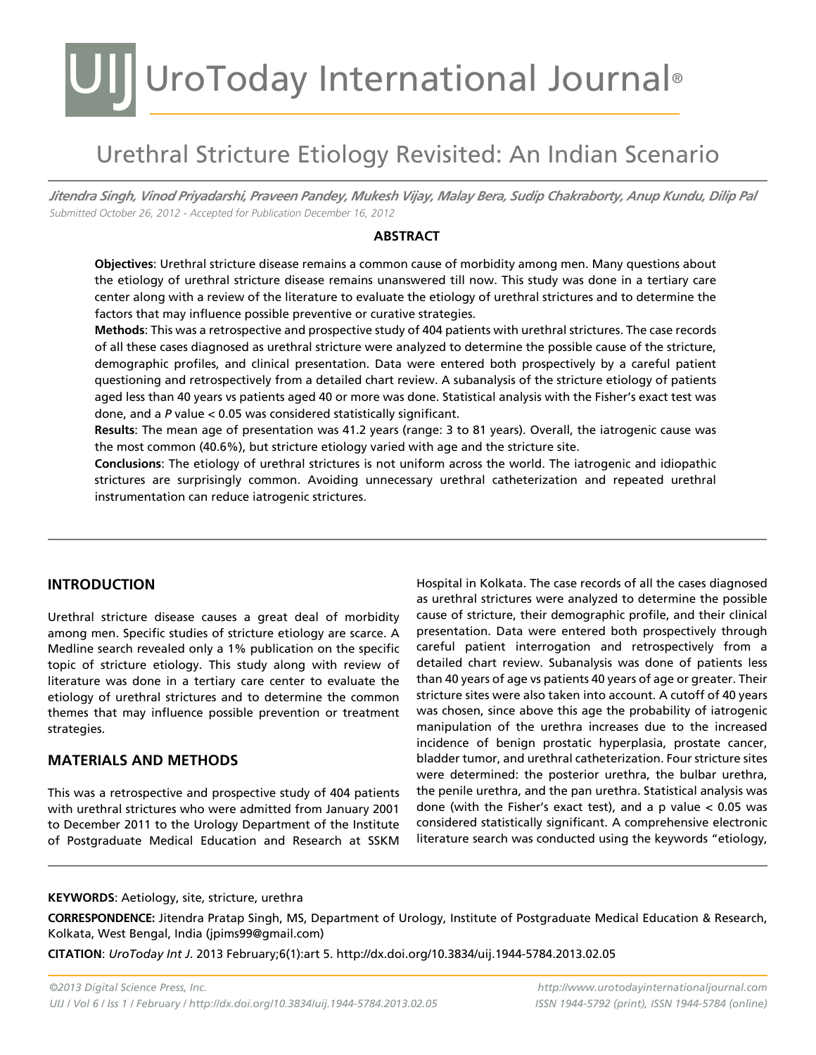### UIJ UroToday International Journal®

### Urethral Stricture Etiology Revisited: An Indian Scenario

*Jitendra Singh, Vinod Priyadarshi, Praveen Pandey, Mukesh Vijay, Malay Bera, Sudip Chakraborty, Anup Kundu, Dilip Pal* Submitted October 26, 2012 - Accepted for Publication December 16, 2012

#### **Abstract**

**Objectives**: Urethral stricture disease remains a common cause of morbidity among men. Many questions about the etiology of urethral stricture disease remains unanswered till now. This study was done in a tertiary care center along with a review of the literature to evaluate the etiology of urethral strictures and to determine the factors that may influence possible preventive or curative strategies.

**Methods**: This was a retrospective and prospective study of 404 patients with urethral strictures. The case records of all these cases diagnosed as urethral stricture were analyzed to determine the possible cause of the stricture, demographic profiles, and clinical presentation. Data were entered both prospectively by a careful patient questioning and retrospectively from a detailed chart review. A subanalysis of the stricture etiology of patients aged less than 40 years vs patients aged 40 or more was done. Statistical analysis with the Fisher's exact test was done, and a *P* value < 0.05 was considered statistically significant.

**Results**: The mean age of presentation was 41.2 years (range: 3 to 81 years). Overall, the iatrogenic cause was the most common (40.6%), but stricture etiology varied with age and the stricture site.

**Conclusions**: The etiology of urethral strictures is not uniform across the world. The iatrogenic and idiopathic strictures are surprisingly common. Avoiding unnecessary urethral catheterization and repeated urethral instrumentation can reduce iatrogenic strictures.

#### **INTRODUCTION**

Urethral stricture disease causes a great deal of morbidity among men. Specific studies of stricture etiology are scarce. A Medline search revealed only a 1% publication on the specific topic of stricture etiology. This study along with review of literature was done in a tertiary care center to evaluate the etiology of urethral strictures and to determine the common themes that may influence possible prevention or treatment strategies.

#### **Materials and methods**

This was a retrospective and prospective study of 404 patients with urethral strictures who were admitted from January 2001 to December 2011 to the Urology Department of the Institute of Postgraduate Medical Education and Research at SSKM

Hospital in Kolkata. The case records of all the cases diagnosed as urethral strictures were analyzed to determine the possible cause of stricture, their demographic profile, and their clinical presentation. Data were entered both prospectively through careful patient interrogation and retrospectively from a detailed chart review. Subanalysis was done of patients less than 40 years of age vs patients 40 years of age or greater. Their stricture sites were also taken into account. A cutoff of 40 years was chosen, since above this age the probability of iatrogenic manipulation of the urethra increases due to the increased incidence of benign prostatic hyperplasia, prostate cancer, bladder tumor, and urethral catheterization. Four stricture sites were determined: the posterior urethra, the bulbar urethra, the penile urethra, and the pan urethra. Statistical analysis was done (with the Fisher's exact test), and a p value  $< 0.05$  was considered statistically significant. A comprehensive electronic literature search was conducted using the keywords "etiology,

#### **KEYWORDS**: Aetiology, site, stricture, urethra

**CORRESPONDENCE:** Jitendra Pratap Singh, MS, Department of Urology, Institute of Postgraduate Medical Education & Research, Kolkata, West Bengal, India (jpims99@gmail.com)

**CITATION**: *UroToday Int J*. 2013 February;6(1):art 5. http://dx.doi.org/10.3834/uij.1944-5784.2013.02.05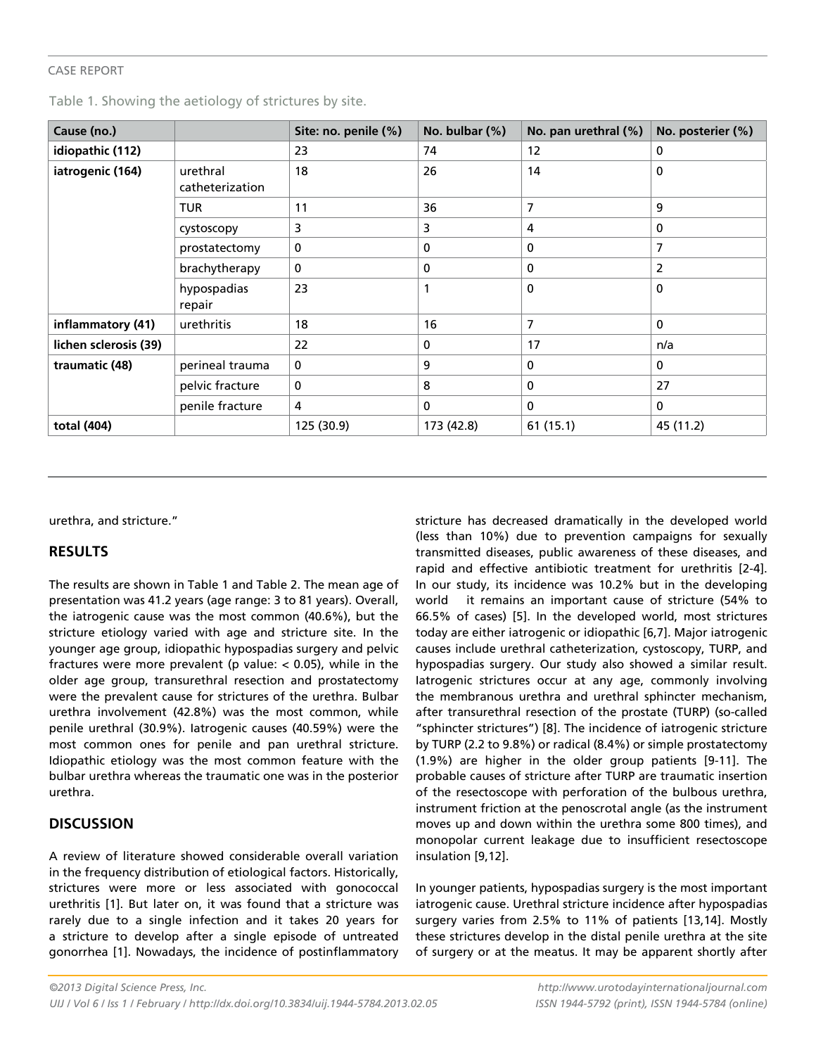#### Case Report

|  |  |  |  | Table 1. Showing the aetiology of strictures by site. |  |
|--|--|--|--|-------------------------------------------------------|--|
|--|--|--|--|-------------------------------------------------------|--|

| Cause (no.)           |                             | Site: no. penile (%) | No. bulbar (%) | No. pan urethral (%) | No. posterier (%) |
|-----------------------|-----------------------------|----------------------|----------------|----------------------|-------------------|
| idiopathic (112)      |                             | 23                   | 74             | 12                   | 0                 |
| iatrogenic (164)      | urethral<br>catheterization | 18                   | 26             | 14                   | $\mathbf 0$       |
|                       | <b>TUR</b>                  | 11                   | 36             | 7                    | 9                 |
|                       | cystoscopy                  | 3                    | 3              | 4                    | 0                 |
|                       | prostatectomy               | 0                    | 0              | 0                    | 7                 |
|                       | brachytherapy               | 0                    | 0              | 0                    | 2                 |
|                       | hypospadias<br>repair       | 23                   | 1              | 0                    | 0                 |
| inflammatory (41)     | urethritis                  | 18                   | 16             | 7                    | $\mathbf{0}$      |
| lichen sclerosis (39) |                             | 22                   | 0              | 17                   | n/a               |
| traumatic (48)        | perineal trauma             | 0                    | 9              | 0                    | $\bf{0}$          |
|                       | pelvic fracture             | 0                    | 8              | 0                    | 27                |
|                       | penile fracture             | 4                    | 0              | 0                    | 0                 |
| total (404)           |                             | 125 (30.9)           | 173 (42.8)     | 61(15.1)             | 45 (11.2)         |

urethra, and stricture."

#### **Results**

The results are shown in Table 1 and Table 2. The mean age of presentation was 41.2 years (age range: 3 to 81 years). Overall, the iatrogenic cause was the most common (40.6%), but the stricture etiology varied with age and stricture site. In the younger age group, idiopathic hypospadias surgery and pelvic fractures were more prevalent (p value:  $< 0.05$ ), while in the older age group, transurethral resection and prostatectomy were the prevalent cause for strictures of the urethra. Bulbar urethra involvement (42.8%) was the most common, while penile urethral (30.9%). Iatrogenic causes (40.59%) were the most common ones for penile and pan urethral stricture. Idiopathic etiology was the most common feature with the bulbar urethra whereas the traumatic one was in the posterior urethra.

#### **Discussion**

A review of literature showed considerable overall variation in the frequency distribution of etiological factors. Historically, strictures were more or less associated with gonococcal urethritis [1]. But later on, it was found that a stricture was rarely due to a single infection and it takes 20 years for a stricture to develop after a single episode of untreated gonorrhea [1]. Nowadays, the incidence of postinflammatory stricture has decreased dramatically in the developed world (less than 10%) due to prevention campaigns for sexually transmitted diseases, public awareness of these diseases, and rapid and effective antibiotic treatment for urethritis [2-4]. In our study, its incidence was 10.2% but in the developing world it remains an important cause of stricture (54% to 66.5% of cases) [5]. In the developed world, most strictures today are either iatrogenic or idiopathic [6,7]. Major iatrogenic causes include urethral catheterization, cystoscopy, TURP, and hypospadias surgery. Our study also showed a similar result. Iatrogenic strictures occur at any age, commonly involving the membranous urethra and urethral sphincter mechanism, after transurethral resection of the prostate (TURP) (so-called "sphincter strictures") [8]. The incidence of iatrogenic stricture by TURP (2.2 to 9.8%) or radical (8.4%) or simple prostatectomy (1.9%) are higher in the older group patients [9-11]. The probable causes of stricture after TURP are traumatic insertion of the resectoscope with perforation of the bulbous urethra, instrument friction at the penoscrotal angle (as the instrument moves up and down within the urethra some 800 times), and monopolar current leakage due to insufficient resectoscope insulation [9,12].

In younger patients, hypospadias surgery is the most important iatrogenic cause. Urethral stricture incidence after hypospadias surgery varies from 2.5% to 11% of patients [13,14]. Mostly these strictures develop in the distal penile urethra at the site of surgery or at the meatus. It may be apparent shortly after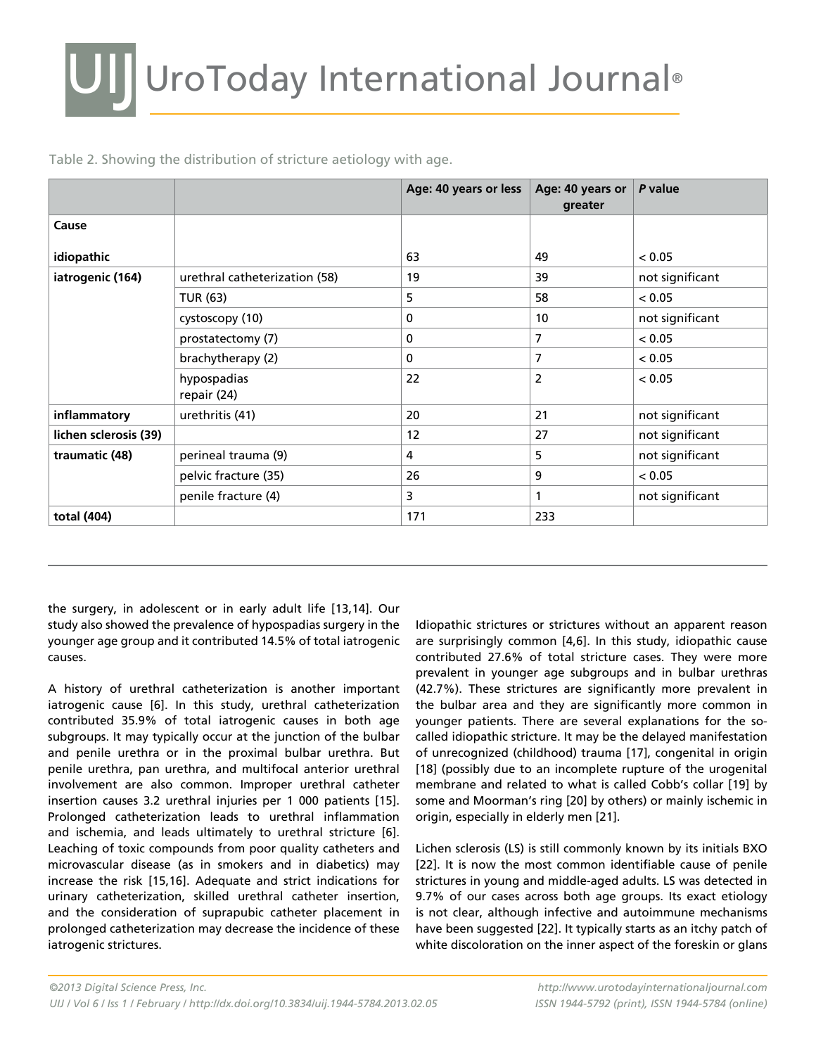|  | Table 2. Showing the distribution of stricture aetiology with age. |
|--|--------------------------------------------------------------------|
|  |                                                                    |

|                       |                               | Age: 40 years or less | Age: 40 years or<br>greater | P value         |
|-----------------------|-------------------------------|-----------------------|-----------------------------|-----------------|
| Cause                 |                               |                       |                             |                 |
| idiopathic            |                               | 63                    | 49                          | < 0.05          |
| iatrogenic (164)      | urethral catheterization (58) | 19                    | 39                          | not significant |
|                       | TUR (63)                      | 5                     | 58                          | < 0.05          |
|                       | cystoscopy (10)               | 0                     | 10 <sup>°</sup>             | not significant |
|                       | prostatectomy (7)             | 0                     | 7                           | < 0.05          |
|                       | brachytherapy (2)             | 0                     | 7                           | < 0.05          |
|                       | hypospadias<br>repair (24)    | 22                    | 2                           | < 0.05          |
| inflammatory          | urethritis (41)               | 20                    | 21                          | not significant |
| lichen sclerosis (39) |                               | 12                    | 27                          | not significant |
| traumatic (48)        | perineal trauma (9)           | 4                     | 5                           | not significant |
|                       | pelvic fracture (35)          | 26                    | 9                           | < 0.05          |
|                       | penile fracture (4)           | 3                     | 1                           | not significant |
| total (404)           |                               | 171                   | 233                         |                 |

the surgery, in adolescent or in early adult life [13,14]. Our study also showed the prevalence of hypospadias surgery in the younger age group and it contributed 14.5% of total iatrogenic causes.

A history of urethral catheterization is another important iatrogenic cause [6]. In this study, urethral catheterization contributed 35.9% of total iatrogenic causes in both age subgroups. It may typically occur at the junction of the bulbar and penile urethra or in the proximal bulbar urethra. But penile urethra, pan urethra, and multifocal anterior urethral involvement are also common. Improper urethral catheter insertion causes 3.2 urethral injuries per 1 000 patients [15]. Prolonged catheterization leads to urethral inflammation and ischemia, and leads ultimately to urethral stricture [6]. Leaching of toxic compounds from poor quality catheters and microvascular disease (as in smokers and in diabetics) may increase the risk [15,16]. Adequate and strict indications for urinary catheterization, skilled urethral catheter insertion, and the consideration of suprapubic catheter placement in prolonged catheterization may decrease the incidence of these iatrogenic strictures.

Idiopathic strictures or strictures without an apparent reason are surprisingly common [4,6]. In this study, idiopathic cause contributed 27.6% of total stricture cases. They were more prevalent in younger age subgroups and in bulbar urethras (42.7%). These strictures are significantly more prevalent in the bulbar area and they are significantly more common in younger patients. There are several explanations for the socalled idiopathic stricture. It may be the delayed manifestation of unrecognized (childhood) trauma [17], congenital in origin [18] (possibly due to an incomplete rupture of the urogenital membrane and related to what is called Cobb's collar [19] by some and Moorman's ring [20] by others) or mainly ischemic in origin, especially in elderly men [21].

Lichen sclerosis (LS) is still commonly known by its initials BXO [22]. It is now the most common identifiable cause of penile strictures in young and middle-aged adults. LS was detected in 9.7% of our cases across both age groups. Its exact etiology is not clear, although infective and autoimmune mechanisms have been suggested [22]. It typically starts as an itchy patch of white discoloration on the inner aspect of the foreskin or glans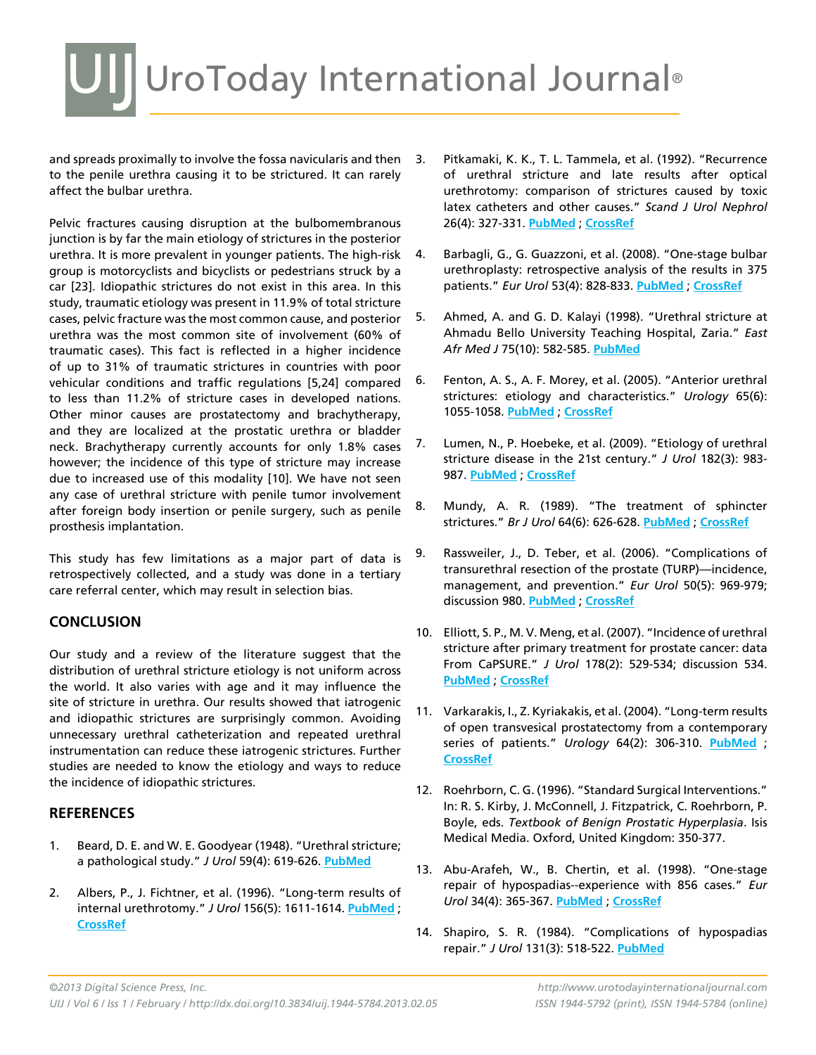## UI UroToday International Journal®

and spreads proximally to involve the fossa navicularis and then 3. to the penile urethra causing it to be strictured. It can rarely affect the bulbar urethra.

Pelvic fractures causing disruption at the bulbomembranous junction is by far the main etiology of strictures in the posterior urethra. It is more prevalent in younger patients. The high-risk group is motorcyclists and bicyclists or pedestrians struck by a car [23]. Idiopathic strictures do not exist in this area. In this study, traumatic etiology was present in 11.9% of total stricture cases, pelvic fracture was the most common cause, and posterior urethra was the most common site of involvement (60% of traumatic cases). This fact is reflected in a higher incidence of up to 31% of traumatic strictures in countries with poor vehicular conditions and traffic regulations [5,24] compared to less than 11.2% of stricture cases in developed nations. Other minor causes are prostatectomy and brachytherapy, and they are localized at the prostatic urethra or bladder neck. Brachytherapy currently accounts for only 1.8% cases however; the incidence of this type of stricture may increase due to increased use of this modality [10]. We have not seen any case of urethral stricture with penile tumor involvement after foreign body insertion or penile surgery, such as penile prosthesis implantation.

This study has few limitations as a major part of data is retrospectively collected, and a study was done in a tertiary care referral center, which may result in selection bias.

#### **Conclusion**

Our study and a review of the literature suggest that the distribution of urethral stricture etiology is not uniform across the world. It also varies with age and it may influence the site of stricture in urethra. Our results showed that iatrogenic and idiopathic strictures are surprisingly common. Avoiding unnecessary urethral catheterization and repeated urethral instrumentation can reduce these iatrogenic strictures. Further studies are needed to know the etiology and ways to reduce the incidence of idiopathic strictures.

#### **References**

- 1. Beard, D. E. and W. E. Goodyear (1948). "Urethral stricture; a pathological study." *J Urol* 59(4): 619-626. **[PubMed](http://www.ncbi.nlm.nih.gov/entrez/query.fcgi?cmd=Retrieve&db=PubMed&list_uids=18906146=&dopt=Abstract )**
- 2. Albers, P., J. Fichtner, et al. (1996). "Long-term results of internal urethrotomy." *J Urol* 156(5): 1611-1614. **[PubMed](http://www.ncbi.nlm.nih.gov/entrez/query.fcgi?cmd=Retrieve&db=PubMed&list_uids=8863550=&dopt=Abstract )** ; **[CrossRef](http://dx.doi.org/10.1016/S0022-5347(01)65461-2)**
- Pitkamaki, K. K., T. L. Tammela, et al. (1992). "Recurrence of urethral stricture and late results after optical urethrotomy: comparison of strictures caused by toxic latex catheters and other causes." *Scand J Urol Nephrol*  26(4): 327-331. **[PubMed](http://www.ncbi.nlm.nih.gov/entrez/query.fcgi?cmd=Retrieve&db=PubMed&list_uids=1292070=&dopt=Abstract )** ; **[CrossRef](http://dx.doi.org/10.3109/00365599209181221)**
- 4. Barbagli, G., G. Guazzoni, et al. (2008). "One-stage bulbar urethroplasty: retrospective analysis of the results in 375 patients." *Eur Urol* 53(4): 828-833. **[PubMed](http://www.ncbi.nlm.nih.gov/entrez/query.fcgi?cmd=Retrieve&db=PubMed&list_uids=18243497=&dopt=Abstract )** ; **[CrossRef](http://dx.doi.org/10.1016/j.eururo.2008.01.041)**
- 5. Ahmed, A. and G. D. Kalayi (1998). "Urethral stricture at Ahmadu Bello University Teaching Hospital, Zaria." *East Afr Med J* 75(10): 582-585. **[PubMed](http://www.ncbi.nlm.nih.gov/entrez/query.fcgi?cmd=Retrieve&db=PubMed&list_uids=10065192=&dopt=Abstract )**
- 6. Fenton, A. S., A. F. Morey, et al. (2005). "Anterior urethral strictures: etiology and characteristics." *Urology* 65(6): 1055-1058. **[PubMed](http://www.ncbi.nlm.nih.gov/entrez/query.fcgi?cmd=Retrieve&db=PubMed&list_uids=15913734=&dopt=Abstract )** ; **[CrossRef](http://dx.doi.org/10.1016/j.urology.2004.12.018)**
- 7. Lumen, N., P. Hoebeke, et al. (2009). "Etiology of urethral stricture disease in the 21st century." *J Urol* 182(3): 983- 987. **[PubMed](http://www.ncbi.nlm.nih.gov/entrez/query.fcgi?cmd=Retrieve&db=PubMed&list_uids=19616805=&dopt=Abstract )** ; **[CrossRef](http://dx.doi.org/10.1016/j.juro.2009.05.023)**
- 8. Mundy, A. R. (1989). "The treatment of sphincter strictures." *Br J Urol* 64(6): 626-628. **[PubMed](http://www.ncbi.nlm.nih.gov/entrez/query.fcgi?cmd=Retrieve&db=PubMed&list_uids=2627637=&dopt=Abstract )** ; **[CrossRef](http://dx.doi.org/10.1111/j.1464-410X.1989.tb05323.x)**
- 9. Rassweiler, J., D. Teber, et al. (2006). "Complications of transurethral resection of the prostate (TURP)—incidence, management, and prevention." *Eur Urol* 50(5): 969-979; discussion 980. **[PubMed](http://www.ncbi.nlm.nih.gov/entrez/query.fcgi?cmd=Retrieve&db=PubMed&list_uids=16469429=&dopt=Abstract )** ; **[CrossRef](http://dx.doi.org/10.1016/j.eururo.2005.12.042)**
- 10. Elliott, S. P., M. V. Meng, et al. (2007). "Incidence of urethral stricture after primary treatment for prostate cancer: data From CaPSURE." *J Urol* 178(2): 529-534; discussion 534. **[PubMed](http://www.ncbi.nlm.nih.gov/entrez/query.fcgi?cmd=Retrieve&db=PubMed&list_uids=17570425=&dopt=Abstract )** ; **[CrossRef](http://dx.doi.org/10.1016/j.juro.2007.03.126)**
- 11. Varkarakis, I., Z. Kyriakakis, et al. (2004). "Long-term results of open transvesical prostatectomy from a contemporary series of patients." *Urology* 64(2): 306-310. **[PubMed](http://www.ncbi.nlm.nih.gov/entrez/query.fcgi?cmd=Retrieve&db=PubMed&list_uids=15302484=&dopt=Abstract )** ; **[CrossRef](http://dx.doi.org/10.1016/j.urology.2004.03.033)**
- 12. Roehrborn, C. G. (1996). "Standard Surgical Interventions." In: R. S. Kirby, J. McConnell, J. Fitzpatrick, C. Roehrborn, P. Boyle, eds. *Textbook of Benign Prostatic Hyperplasia*. Isis Medical Media. Oxford, United Kingdom: 350-377.
- 13. Abu-Arafeh, W., B. Chertin, et al. (1998). "One-stage repair of hypospadias--experience with 856 cases." *Eur Urol* 34(4): 365-367. **[PubMed](http://www.ncbi.nlm.nih.gov/entrez/query.fcgi?cmd=Retrieve&db=PubMed&list_uids=9748687=&dopt=Abstract )** ; **[CrossRef](http://dx.doi.org/10.1159/000019757)**
- 14. Shapiro, S. R. (1984). "Complications of hypospadias repair." *J Urol* 131(3): 518-522. **[PubMed](http://www.ncbi.nlm.nih.gov/entrez/query.fcgi?cmd=Retrieve&db=PubMed&list_uids=6699995=&dopt=Abstract )**